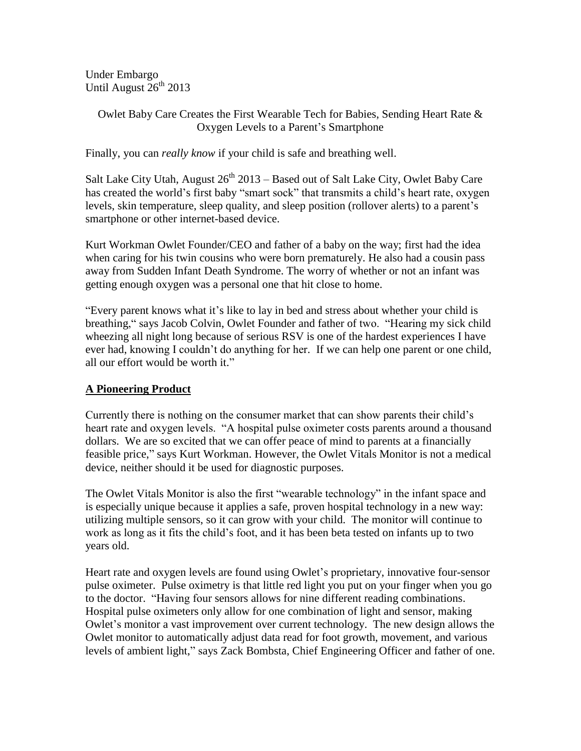Under Embargo Until August  $26^{th}$  2013

## Owlet Baby Care Creates the First Wearable Tech for Babies, Sending Heart Rate & Oxygen Levels to a Parent's Smartphone

Finally, you can *really know* if your child is safe and breathing well.

Salt Lake City Utah, August  $26<sup>th</sup> 2013$  – Based out of Salt Lake City, Owlet Baby Care has created the world's first baby "smart sock" that transmits a child's heart rate, oxygen levels, skin temperature, sleep quality, and sleep position (rollover alerts) to a parent's smartphone or other internet-based device.

Kurt Workman Owlet Founder/CEO and father of a baby on the way; first had the idea when caring for his twin cousins who were born prematurely. He also had a cousin pass away from Sudden Infant Death Syndrome. The worry of whether or not an infant was getting enough oxygen was a personal one that hit close to home.

"Every parent knows what it's like to lay in bed and stress about whether your child is breathing," says Jacob Colvin, Owlet Founder and father of two. "Hearing my sick child wheezing all night long because of serious RSV is one of the hardest experiences I have ever had, knowing I couldn't do anything for her. If we can help one parent or one child, all our effort would be worth it."

# **A Pioneering Product**

Currently there is nothing on the consumer market that can show parents their child's heart rate and oxygen levels. "A hospital pulse oximeter costs parents around a thousand dollars. We are so excited that we can offer peace of mind to parents at a financially feasible price," says Kurt Workman. However, the Owlet Vitals Monitor is not a medical device, neither should it be used for diagnostic purposes.

The Owlet Vitals Monitor is also the first "wearable technology" in the infant space and is especially unique because it applies a safe, proven hospital technology in a new way: utilizing multiple sensors, so it can grow with your child. The monitor will continue to work as long as it fits the child's foot, and it has been beta tested on infants up to two years old.

Heart rate and oxygen levels are found using Owlet's proprietary, innovative four-sensor pulse oximeter. Pulse oximetry is that little red light you put on your finger when you go to the doctor. "Having four sensors allows for nine different reading combinations. Hospital pulse oximeters only allow for one combination of light and sensor, making Owlet's monitor a vast improvement over current technology. The new design allows the Owlet monitor to automatically adjust data read for foot growth, movement, and various levels of ambient light," says Zack Bombsta, Chief Engineering Officer and father of one.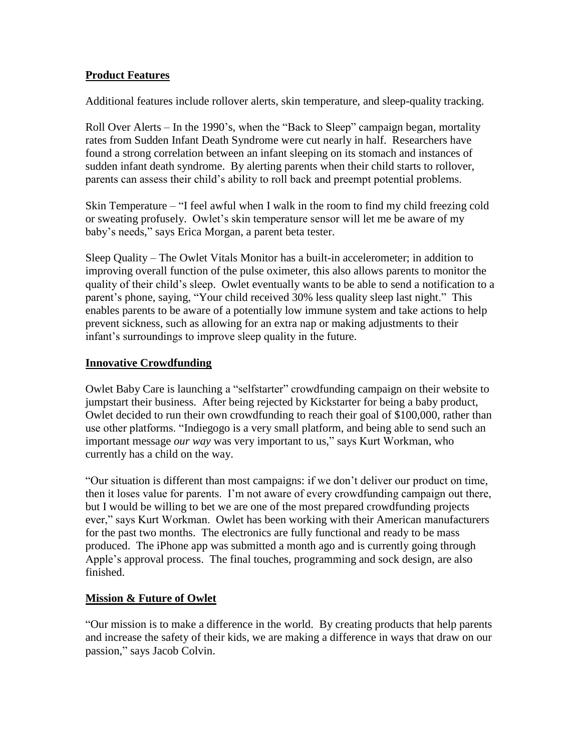## **Product Features**

Additional features include rollover alerts, skin temperature, and sleep-quality tracking.

Roll Over Alerts – In the 1990's, when the "Back to Sleep" campaign began, mortality rates from Sudden Infant Death Syndrome were cut nearly in half. Researchers have found a strong correlation between an infant sleeping on its stomach and instances of sudden infant death syndrome. By alerting parents when their child starts to rollover, parents can assess their child's ability to roll back and preempt potential problems.

Skin Temperature – "I feel awful when I walk in the room to find my child freezing cold or sweating profusely. Owlet's skin temperature sensor will let me be aware of my baby's needs," says Erica Morgan, a parent beta tester.

Sleep Quality – The Owlet Vitals Monitor has a built-in accelerometer; in addition to improving overall function of the pulse oximeter, this also allows parents to monitor the quality of their child's sleep. Owlet eventually wants to be able to send a notification to a parent's phone, saying, "Your child received 30% less quality sleep last night." This enables parents to be aware of a potentially low immune system and take actions to help prevent sickness, such as allowing for an extra nap or making adjustments to their infant's surroundings to improve sleep quality in the future.

### **Innovative Crowdfunding**

Owlet Baby Care is launching a "selfstarter" crowdfunding campaign on their website to jumpstart their business. After being rejected by Kickstarter for being a baby product, Owlet decided to run their own crowdfunding to reach their goal of \$100,000, rather than use other platforms. "Indiegogo is a very small platform, and being able to send such an important message *our way* was very important to us," says Kurt Workman, who currently has a child on the way.

"Our situation is different than most campaigns: if we don't deliver our product on time, then it loses value for parents. I'm not aware of every crowdfunding campaign out there, but I would be willing to bet we are one of the most prepared crowdfunding projects ever," says Kurt Workman. Owlet has been working with their American manufacturers for the past two months. The electronics are fully functional and ready to be mass produced. The iPhone app was submitted a month ago and is currently going through Apple's approval process. The final touches, programming and sock design, are also finished.

#### **Mission & Future of Owlet**

"Our mission is to make a difference in the world. By creating products that help parents and increase the safety of their kids, we are making a difference in ways that draw on our passion," says Jacob Colvin.